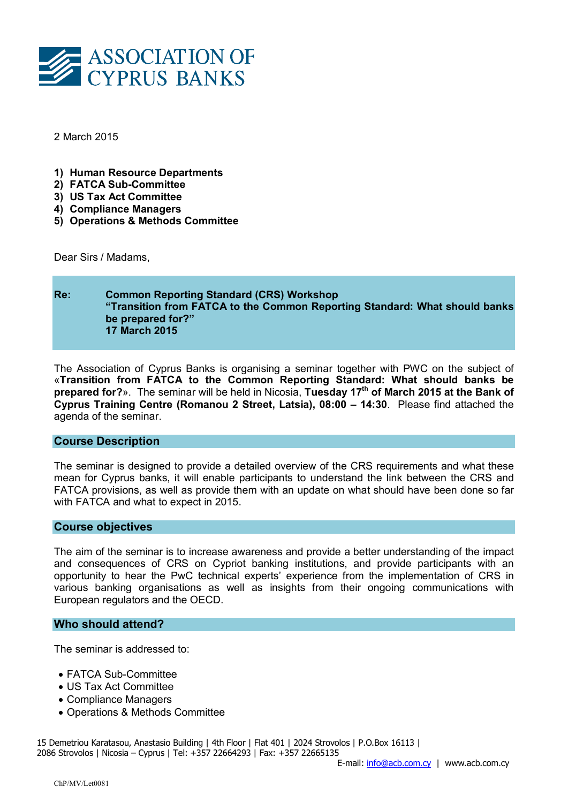

2 March 2015

- 1) Human Resource Departments
- 2) FATCA Sub-Committee
- 3) US Tax Act Committee
- 4) Compliance Managers
- 5) Operations & Methods Committee

Dear Sirs / Madams,

# Re: Common Reporting Standard (CRS) Workshop "Transition from FATCA to the Common Reporting Standard: What should banks be prepared for?" 17 March 2015

The Association of Cyprus Banks is organising a seminar together with PWC on the subject of «Transition from FATCA to the Common Reporting Standard: What should banks be prepared for?». The seminar will be held in Nicosia, Tuesday  $17<sup>th</sup>$  of March 2015 at the Bank of Cyprus Training Centre (Romanou 2 Street, Latsia), 08:00 – 14:30. Please find attached the agenda of the seminar.

#### Course Description

The seminar is designed to provide a detailed overview of the CRS requirements and what these mean for Cyprus banks, it will enable participants to understand the link between the CRS and FATCA provisions, as well as provide them with an update on what should have been done so far with FATCA and what to expect in 2015.

## Course objectives

The aim of the seminar is to increase awareness and provide a better understanding of the impact and consequences of CRS on Cypriot banking institutions, and provide participants with an opportunity to hear the PwC technical experts' experience from the implementation of CRS in various banking organisations as well as insights from their ongoing communications with European regulators and the OECD.

#### Who should attend?

The seminar is addressed to:

- FATCA Sub-Committee
- US Tax Act Committee
- Compliance Managers
- Operations & Methods Committee

15 Demetriou Karatasou, Anastasio Building | 4th Floor | Flat 401 | 2024 Strovolos | P.O.Box 16113 | 2086 Strovolos | Nicosia – Cyprus | Tel: +357 22664293 | Fax: +357 22665135